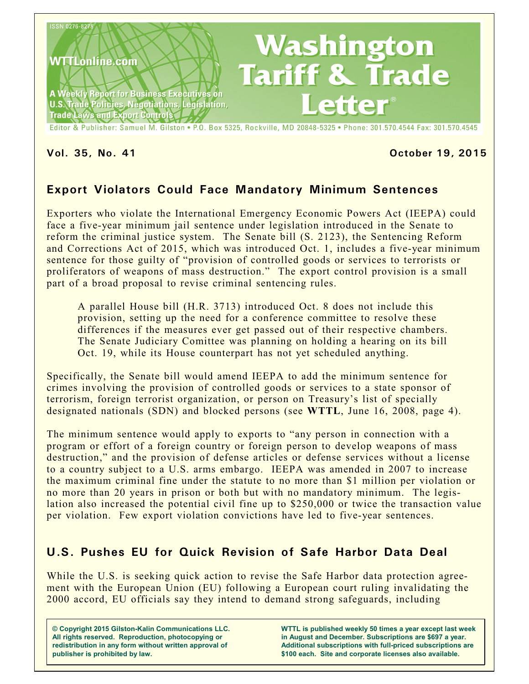

Editor & Publisher: Samuel M. Gilston . P.O. Box 5325, Rockville, MD 20848-5325 . Phone: 301.570.4544 Fax: 301.570.4545

### **Vol. 35, No. 41 October 19, 2015**

# **Export Violators Could Face Mandatory Minimum Sentences**

Exporters who violate the International Emergency Economic Powers Act (IEEPA) could face a five-year minimum jail sentence under legislation introduced in the Senate to reform the criminal justice system. The Senate bill (S. 2123), the Sentencing Reform and Corrections Act of 2015, which was introduced Oct. 1, includes a five-year minimum sentence for those guilty of "provision of controlled goods or services to terrorists or proliferators of weapons of mass destruction." The export control provision is a small part of a broad proposal to revise criminal sentencing rules.

A parallel House bill (H.R. 3713) introduced Oct. 8 does not include this provision, setting up the need for a conference committee to resolve these differences if the measures ever get passed out of their respective chambers. The Senate Judiciary Comittee was planning on holding a hearing on its bill Oct. 19, while its House counterpart has not yet scheduled anything.

Specifically, the Senate bill would amend IEEPA to add the minimum sentence for crimes involving the provision of controlled goods or services to a state sponsor of terrorism, foreign terrorist organization, or person on Treasury's list of specially designated nationals (SDN) and blocked persons (see **WTTL**, June 16, 2008, page 4).

The minimum sentence would apply to exports to "any person in connection with a program or effort of a foreign country or foreign person to develop weapons of mass destruction," and the provision of defense articles or defense services without a license to a country subject to a U.S. arms embargo. IEEPA was amended in 2007 to increase the maximum criminal fine under the statute to no more than \$1 million per violation or no more than 20 years in prison or both but with no mandatory minimum. The legislation also increased the potential civil fine up to \$250,000 or twice the transaction value per violation. Few export violation convictions have led to five-year sentences.

## **U.S. Pushes EU for Quick Revision of Safe Harbor Data Deal**

While the U.S. is seeking quick action to revise the Safe Harbor data protection agreement with the European Union (EU) following a European court ruling invalidating the 2000 accord, EU officials say they intend to demand strong safeguards, including

**© Copyright 2015 Gilston-Kalin Communications LLC. All rights reserved. Reproduction, photocopying or redistribution in any form without written approval of publisher is prohibited by law.** 

**WTTL is published weekly 50 times a year except last week in August and December. Subscriptions are \$697 a year. Additional subscriptions with full-priced subscriptions are \$100 each. Site and corporate licenses also available.**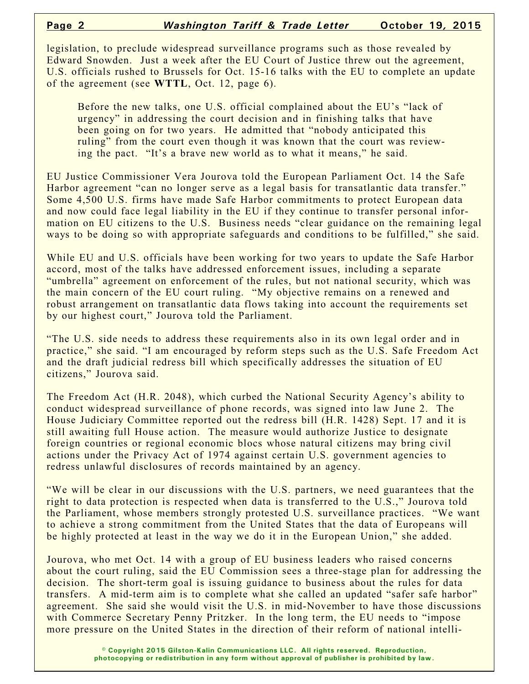legislation, to preclude widespread surveillance programs such as those revealed by Edward Snowden. Just a week after the EU Court of Justice threw out the agreement, U.S. officials rushed to Brussels for Oct. 15-16 talks with the EU to complete an update of the agreement (see **WTTL**, Oct. 12, page 6).

Before the new talks, one U.S. official complained about the EU's "lack of urgency" in addressing the court decision and in finishing talks that have been going on for two years. He admitted that "nobody anticipated this ruling" from the court even though it was known that the court was reviewing the pact. "It's a brave new world as to what it means," he said.

EU Justice Commissioner Vera Jourova told the European Parliament Oct. 14 the Safe Harbor agreement "can no longer serve as a legal basis for transatlantic data transfer." Some 4,500 U.S. firms have made Safe Harbor commitments to protect European data and now could face legal liability in the EU if they continue to transfer personal information on EU citizens to the U.S. Business needs "clear guidance on the remaining legal ways to be doing so with appropriate safeguards and conditions to be fulfilled," she said.

While EU and U.S. officials have been working for two years to update the Safe Harbor accord, most of the talks have addressed enforcement issues, including a separate "umbrella" agreement on enforcement of the rules, but not national security, which was the main concern of the EU court ruling. "My objective remains on a renewed and robust arrangement on transatlantic data flows taking into account the requirements set by our highest court," Jourova told the Parliament.

"The U.S. side needs to address these requirements also in its own legal order and in practice," she said. "I am encouraged by reform steps such as the U.S. Safe Freedom Act and the draft judicial redress bill which specifically addresses the situation of EU citizens," Jourova said.

The Freedom Act (H.R. 2048), which curbed the National Security Agency's ability to conduct widespread surveillance of phone records, was signed into law June 2. The House Judiciary Committee reported out the redress bill (H.R. 1428) Sept. 17 and it is still awaiting full House action. The measure would authorize Justice to designate foreign countries or regional economic blocs whose natural citizens may bring civil actions under the Privacy Act of 1974 against certain U.S. government agencies to redress unlawful disclosures of records maintained by an agency.

"We will be clear in our discussions with the U.S. partners, we need guarantees that the right to data protection is respected when data is transferred to the U.S.," Jourova told the Parliament, whose members strongly protested U.S. surveillance practices. "We want to achieve a strong commitment from the United States that the data of Europeans will be highly protected at least in the way we do it in the European Union," she added.

Jourova, who met Oct. 14 with a group of EU business leaders who raised concerns about the court ruling, said the EU Commission sees a three-stage plan for addressing the decision. The short-term goal is issuing guidance to business about the rules for data transfers. A mid-term aim is to complete what she called an updated "safer safe harbor" agreement. She said she would visit the U.S. in mid-November to have those discussions with Commerce Secretary Penny Pritzker. In the long term, the EU needs to "impose" more pressure on the United States in the direction of their reform of national intelli-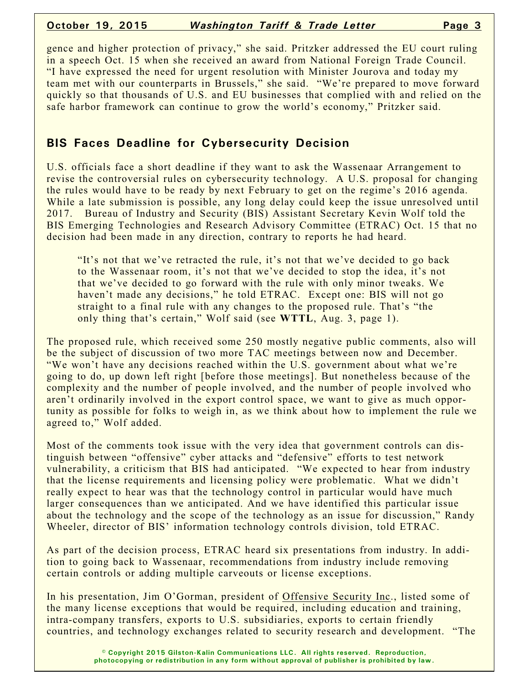### **October 19, 2015** *Washington Tariff & Trade Letter* **Page 3**

gence and higher protection of privacy," she said. Pritzker addressed the EU court ruling in a speech Oct. 15 when she received an award from National Foreign Trade Council. "I have expressed the need for urgent resolution with Minister Jourova and today my team met with our counterparts in Brussels," she said. "We're prepared to move forward quickly so that thousands of U.S. and EU businesses that complied with and relied on the safe harbor framework can continue to grow the world's economy," Pritzker said.

# **BIS Faces Deadline for Cybersecurity Decision**

U.S. officials face a short deadline if they want to ask the Wassenaar Arrangement to revise the controversial rules on cybersecurity technology. A U.S. proposal for changing the rules would have to be ready by next February to get on the regime's 2016 agenda. While a late submission is possible, any long delay could keep the issue unresolved until 2017. Bureau of Industry and Security (BIS) Assistant Secretary Kevin Wolf told the BIS Emerging Technologies and Research Advisory Committee (ETRAC) Oct. 15 that no decision had been made in any direction, contrary to reports he had heard.

"It's not that we've retracted the rule, it's not that we've decided to go back to the Wassenaar room, it's not that we've decided to stop the idea, it's not that we've decided to go forward with the rule with only minor tweaks. We haven't made any decisions," he told ETRAC. Except one: BIS will not go straight to a final rule with any changes to the proposed rule. That's "the only thing that's certain," Wolf said (see **WTTL**, Aug. 3, page 1).

The proposed rule, which received some 250 mostly negative public comments, also will be the subject of discussion of two more TAC meetings between now and December. "We won't have any decisions reached within the U.S. government about what we're going to do, up down left right [before those meetings]. But nonetheless because of the complexity and the number of people involved, and the number of people involved who aren't ordinarily involved in the export control space, we want to give as much opportunity as possible for folks to weigh in, as we think about how to implement the rule we agreed to," Wolf added.

Most of the comments took issue with the very idea that government controls can distinguish between "offensive" cyber attacks and "defensive" efforts to test network vulnerability, a criticism that BIS had anticipated. "We expected to hear from industry that the license requirements and licensing policy were problematic. What we didn't really expect to hear was that the technology control in particular would have much larger consequences than we anticipated. And we have identified this particular issue about the technology and the scope of the technology as an issue for discussion," Randy Wheeler, director of BIS' information technology controls division, told ETRAC.

As part of the decision process, ETRAC heard six presentations from industry. In addition to going back to Wassenaar, recommendations from industry include removing certain controls or adding multiple carveouts or license exceptions.

In his presentation, Jim O'Gorman, president of Offensive Security Inc., listed some of the many license exceptions that would be required, including education and training, intra-company transfers, exports to U.S. subsidiaries, exports to certain friendly countries, and technology exchanges related to security research and development. "The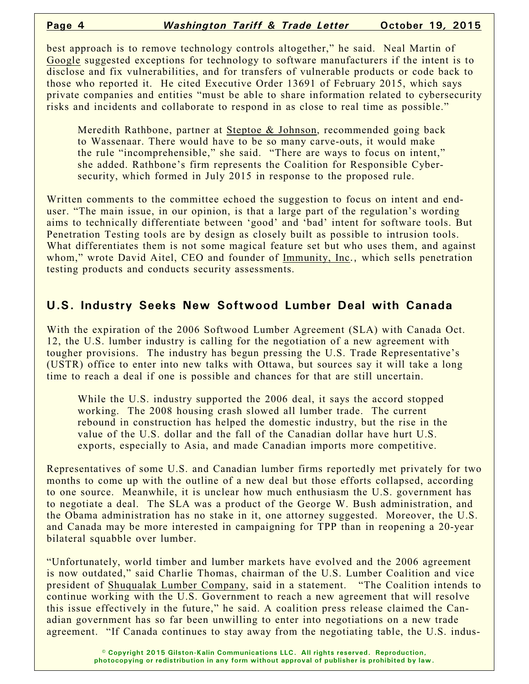best approach is to remove technology controls altogether," he said. Neal Martin of Google suggested exceptions for technology to software manufacturers if the intent is to disclose and fix vulnerabilities, and for transfers of vulnerable products or code back to those who reported it. He cited Executive Order 13691 of February 2015, which says private companies and entities "must be able to share information related to cybersecurity risks and incidents and collaborate to respond in as close to real time as possible."

Meredith Rathbone, partner at Steptoe & Johnson, recommended going back to Wassenaar. There would have to be so many carve-outs, it would make the rule "incomprehensible," she said. "There are ways to focus on intent," she added. Rathbone's firm represents the Coalition for Responsible Cybersecurity, which formed in July 2015 in response to the proposed rule.

Written comments to the committee echoed the suggestion to focus on intent and enduser. "The main issue, in our opinion, is that a large part of the regulation's wording aims to technically differentiate between 'good' and 'bad' intent for software tools. But Penetration Testing tools are by design as closely built as possible to intrusion tools. What differentiates them is not some magical feature set but who uses them, and against whom," wrote David Aitel, CEO and founder of Immunity, Inc., which sells penetration testing products and conducts security assessments.

## **U.S. Industry Seeks New Softwood Lumber Deal with Canada**

With the expiration of the 2006 Softwood Lumber Agreement (SLA) with Canada Oct. 12, the U.S. lumber industry is calling for the negotiation of a new agreement with tougher provisions. The industry has begun pressing the U.S. Trade Representative's (USTR) office to enter into new talks with Ottawa, but sources say it will take a long time to reach a deal if one is possible and chances for that are still uncertain.

While the U.S. industry supported the 2006 deal, it says the accord stopped working. The 2008 housing crash slowed all lumber trade. The current rebound in construction has helped the domestic industry, but the rise in the value of the U.S. dollar and the fall of the Canadian dollar have hurt U.S. exports, especially to Asia, and made Canadian imports more competitive.

Representatives of some U.S. and Canadian lumber firms reportedly met privately for two months to come up with the outline of a new deal but those efforts collapsed, according to one source. Meanwhile, it is unclear how much enthusiasm the U.S. government has to negotiate a deal. The SLA was a product of the George W. Bush administration, and the Obama administration has no stake in it, one attorney suggested. Moreover, the U.S. and Canada may be more interested in campaigning for TPP than in reopening a 20-year bilateral squabble over lumber.

"Unfortunately, world timber and lumber markets have evolved and the 2006 agreement is now outdated," said Charlie Thomas, chairman of the U.S. Lumber Coalition and vice president of Shuqualak Lumber Company, said in a statement. "The Coalition intends to continue working with the U.S. Government to reach a new agreement that will resolve this issue effectively in the future," he said. A coalition press release claimed the Canadian government has so far been unwilling to enter into negotiations on a new trade agreement. "If Canada continues to stay away from the negotiating table, the U.S. indus-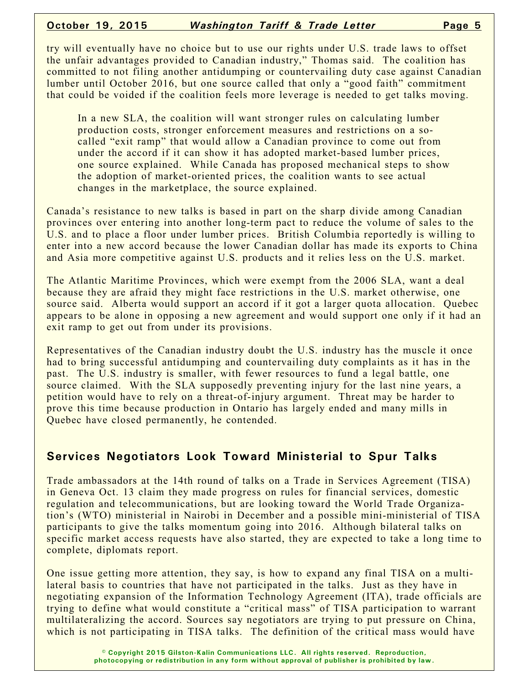try will eventually have no choice but to use our rights under U.S. trade laws to offset the unfair advantages provided to Canadian industry," Thomas said. The coalition has committed to not filing another antidumping or countervailing duty case against Canadian lumber until October 2016, but one source called that only a "good faith" commitment that could be voided if the coalition feels more leverage is needed to get talks moving.

In a new SLA, the coalition will want stronger rules on calculating lumber production costs, stronger enforcement measures and restrictions on a socalled "exit ramp" that would allow a Canadian province to come out from under the accord if it can show it has adopted market-based lumber prices, one source explained. While Canada has proposed mechanical steps to show the adoption of market-oriented prices, the coalition wants to see actual changes in the marketplace, the source explained.

Canada's resistance to new talks is based in part on the sharp divide among Canadian provinces over entering into another long-term pact to reduce the volume of sales to the U.S. and to place a floor under lumber prices. British Columbia reportedly is willing to enter into a new accord because the lower Canadian dollar has made its exports to China and Asia more competitive against U.S. products and it relies less on the U.S. market.

The Atlantic Maritime Provinces, which were exempt from the 2006 SLA, want a deal because they are afraid they might face restrictions in the U.S. market otherwise, one source said. Alberta would support an accord if it got a larger quota allocation. Quebec appears to be alone in opposing a new agreement and would support one only if it had an exit ramp to get out from under its provisions.

Representatives of the Canadian industry doubt the U.S. industry has the muscle it once had to bring successful antidumping and countervailing duty complaints as it has in the past. The U.S. industry is smaller, with fewer resources to fund a legal battle, one source claimed. With the SLA supposedly preventing injury for the last nine years, a petition would have to rely on a threat-of-injury argument. Threat may be harder to prove this time because production in Ontario has largely ended and many mills in Quebec have closed permanently, he contended.

### **Services Negotiators Look Toward Ministerial to Spur Talks**

Trade ambassadors at the 14th round of talks on a Trade in Services Agreement (TISA) in Geneva Oct. 13 claim they made progress on rules for financial services, domestic regulation and telecommunications, but are looking toward the World Trade Organization's (WTO) ministerial in Nairobi in December and a possible mini-ministerial of TISA participants to give the talks momentum going into 2016. Although bilateral talks on specific market access requests have also started, they are expected to take a long time to complete, diplomats report.

One issue getting more attention, they say, is how to expand any final TISA on a multilateral basis to countries that have not participated in the talks. Just as they have in negotiating expansion of the Information Technology Agreement (ITA), trade officials are trying to define what would constitute a "critical mass" of TISA participation to warrant multilateralizing the accord. Sources say negotiators are trying to put pressure on China, which is not participating in TISA talks. The definition of the critical mass would have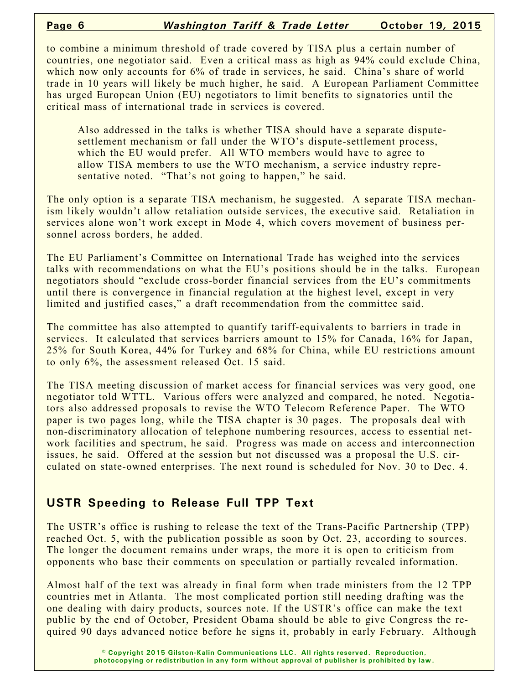to combine a minimum threshold of trade covered by TISA plus a certain number of countries, one negotiator said. Even a critical mass as high as 94% could exclude China, which now only accounts for 6% of trade in services, he said. China's share of world trade in 10 years will likely be much higher, he said. A European Parliament Committee has urged European Union (EU) negotiators to limit benefits to signatories until the critical mass of international trade in services is covered.

Also addressed in the talks is whether TISA should have a separate disputesettlement mechanism or fall under the WTO's dispute-settlement process, which the EU would prefer. All WTO members would have to agree to allow TISA members to use the WTO mechanism, a service industry representative noted. "That's not going to happen," he said.

The only option is a separate TISA mechanism, he suggested. A separate TISA mechanism likely wouldn't allow retaliation outside services, the executive said. Retaliation in services alone won't work except in Mode 4, which covers movement of business personnel across borders, he added.

The EU Parliament's Committee on International Trade has weighed into the services talks with recommendations on what the EU's positions should be in the talks. European negotiators should "exclude cross-border financial services from the EU's commitments until there is convergence in financial regulation at the highest level, except in very limited and justified cases," a draft recommendation from the committee said.

The committee has also attempted to quantify tariff-equivalents to barriers in trade in services. It calculated that services barriers amount to 15% for Canada, 16% for Japan, 25% for South Korea, 44% for Turkey and 68% for China, while EU restrictions amount to only 6%, the assessment released Oct. 15 said.

The TISA meeting discussion of market access for financial services was very good, one negotiator told WTTL. Various offers were analyzed and compared, he noted. Negotiators also addressed proposals to revise the WTO Telecom Reference Paper. The WTO paper is two pages long, while the TISA chapter is 30 pages. The proposals deal with non-discriminatory allocation of telephone numbering resources, access to essential network facilities and spectrum, he said. Progress was made on access and interconnection issues, he said. Offered at the session but not discussed was a proposal the U.S. circulated on state-owned enterprises. The next round is scheduled for Nov. 30 to Dec. 4.

## **USTR Speeding to Release Full TPP Text**

The USTR's office is rushing to release the text of the Trans-Pacific Partnership (TPP) reached Oct. 5, with the publication possible as soon by Oct. 23, according to sources. The longer the document remains under wraps, the more it is open to criticism from opponents who base their comments on speculation or partially revealed information.

Almost half of the text was already in final form when trade ministers from the 12 TPP countries met in Atlanta. The most complicated portion still needing drafting was the one dealing with dairy products, sources note. If the USTR's office can make the text public by the end of October, President Obama should be able to give Congress the required 90 days advanced notice before he signs it, probably in early February. Although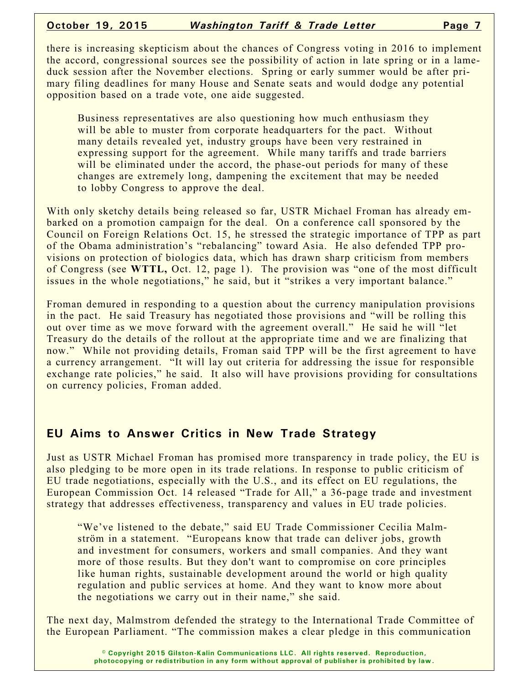there is increasing skepticism about the chances of Congress voting in 2016 to implement the accord, congressional sources see the possibility of action in late spring or in a lameduck session after the November elections. Spring or early summer would be after primary filing deadlines for many House and Senate seats and would dodge any potential opposition based on a trade vote, one aide suggested.

Business representatives are also questioning how much enthusiasm they will be able to muster from corporate headquarters for the pact. Without many details revealed yet, industry groups have been very restrained in expressing support for the agreement. While many tariffs and trade barriers will be eliminated under the accord, the phase-out periods for many of these changes are extremely long, dampening the excitement that may be needed to lobby Congress to approve the deal.

With only sketchy details being released so far, USTR Michael Froman has already embarked on a promotion campaign for the deal. On a conference call sponsored by the Council on Foreign Relations Oct. 15, he stressed the strategic importance of TPP as part of the Obama administration's "rebalancing" toward Asia. He also defended TPP provisions on protection of biologics data, which has drawn sharp criticism from members of Congress (see **WTTL,** Oct. 12, page 1). The provision was "one of the most difficult issues in the whole negotiations," he said, but it "strikes a very important balance."

Froman demured in responding to a question about the currency manipulation provisions in the pact. He said Treasury has negotiated those provisions and "will be rolling this out over time as we move forward with the agreement overall." He said he will "let Treasury do the details of the rollout at the appropriate time and we are finalizing that now." While not providing details, Froman said TPP will be the first agreement to have a currency arrangement. "It will lay out criteria for addressing the issue for responsible exchange rate policies," he said. It also will have provisions providing for consultations on currency policies, Froman added.

### **EU Aims to Answer Critics in New Trade Strategy**

Just as USTR Michael Froman has promised more transparency in trade policy, the EU is also pledging to be more open in its trade relations. In response to public criticism of EU trade negotiations, especially with the U.S., and its effect on EU regulations, the European Commission Oct. 14 released "Trade for All," a 36-page trade and investment strategy that addresses effectiveness, transparency and values in EU trade policies.

"We've listened to the debate," said EU Trade Commissioner Cecilia Malmström in a statement. "Europeans know that trade can deliver jobs, growth and investment for consumers, workers and small companies. And they want more of those results. But they don't want to compromise on core principles like human rights, sustainable development around the world or high quality regulation and public services at home. And they want to know more about the negotiations we carry out in their name," she said.

The next day, Malmstrom defended the strategy to the International Trade Committee of the European Parliament. "The commission makes a clear pledge in this communication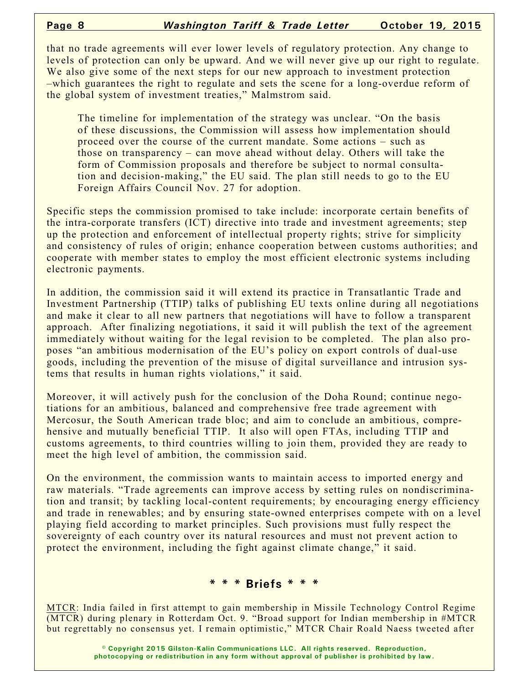that no trade agreements will ever lower levels of regulatory protection. Any change to levels of protection can only be upward. And we will never give up our right to regulate. We also give some of the next steps for our new approach to investment protection –which guarantees the right to regulate and sets the scene for a long-overdue reform of the global system of investment treaties," Malmstrom said.

The timeline for implementation of the strategy was unclear. "On the basis of these discussions, the Commission will assess how implementation should proceed over the course of the current mandate. Some actions – such as those on transparency – can move ahead without delay. Others will take the form of Commission proposals and therefore be subject to normal consultation and decision-making," the EU said. The plan still needs to go to the EU Foreign Affairs Council Nov. 27 for adoption.

Specific steps the commission promised to take include: incorporate certain benefits of the intra-corporate transfers (ICT) directive into trade and investment agreements; step up the protection and enforcement of intellectual property rights; strive for simplicity and consistency of rules of origin; enhance cooperation between customs authorities; and cooperate with member states to employ the most efficient electronic systems including electronic payments.

In addition, the commission said it will extend its practice in Transatlantic Trade and Investment Partnership (TTIP) talks of publishing EU texts online during all negotiations and make it clear to all new partners that negotiations will have to follow a transparent approach. After finalizing negotiations, it said it will publish the text of the agreement immediately without waiting for the legal revision to be completed. The plan also proposes "an ambitious modernisation of the EU's policy on export controls of dual-use goods, including the prevention of the misuse of digital surveillance and intrusion systems that results in human rights violations," it said.

Moreover, it will actively push for the conclusion of the Doha Round; continue negotiations for an ambitious, balanced and comprehensive free trade agreement with Mercosur, the South American trade bloc; and aim to conclude an ambitious, comprehensive and mutually beneficial TTIP. It also will open FTAs, including TTIP and customs agreements, to third countries willing to join them, provided they are ready to meet the high level of ambition, the commission said.

On the environment, the commission wants to maintain access to imported energy and raw materials. "Trade agreements can improve access by setting rules on nondiscrimination and transit; by tackling local-content requirements; by encouraging energy efficiency and trade in renewables; and by ensuring state-owned enterprises compete with on a level playing field according to market principles. Such provisions must fully respect the sovereignty of each country over its natural resources and must not prevent action to protect the environment, including the fight against climate change," it said.

### **\* \* \* Briefs \* \* \***

MTCR: India failed in first attempt to gain membership in Missile Technology Control Regime (MTCR) during plenary in Rotterdam Oct. 9. "Broad support for Indian membership in #MTCR but regrettably no consensus yet. I remain optimistic," MTCR Chair Roald Naess tweeted after